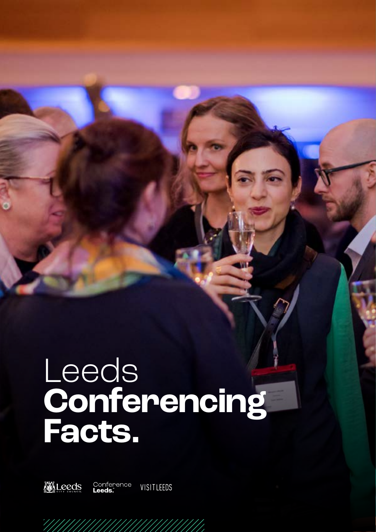# Leeds **Conferencing Facts.**



Conference<br>Leeds. VISITLEEDS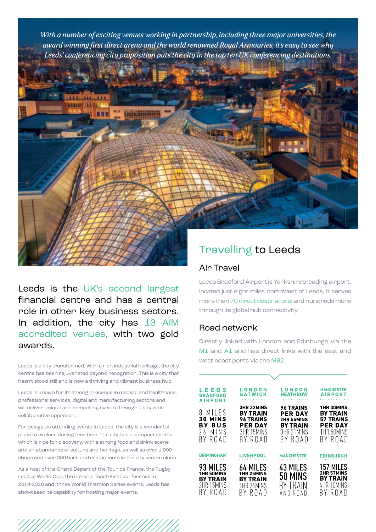*With a number of exciting venues working in partnership, including three major universities, the award winning first direct arena and the world renowned Royal Armouries, it's easy to see why Leeds' conferencing city proposition puts the city in the top ten UK conferencing destinations.*



Leeds is the UK's second largest financial centre and has a central role in other key business sectors. In addition, the city has 13 AIM accredited venues, with two gold awards.

Leeds is a city transformed. With a rich industrial heritage, the city centre has been rejuvenated beyond recognition. This is a city that hasn't stood still and is now a thriving and vibrant business hub.

Leeds is known for its strong presence in medical and healthcare, professional services, digital and manufacturing sectors and will deliver unique and compelling events through a city wide collaborative approach.

For delegates attending events in Leeds, the city is a wonderful place to explore during free time. The city has a compact centre which is ripe for discovery, with a strong food and drink scene and an abundance of culture and heritage, as well as over 1,000 shops and over 300 bars and restaurants in the city centre alone.

As a host of the Grand Départ of the Tour de France, the Rugby League World Cup, the national Teach First conference in 2014-2020 and three World Triathlon Series events, Leeds has showcased its capability for hosting major events.

### Travelling to Leeds

#### Air Travel

Leeds Bradford Airport is Yorkshire's leading airport, located just eight miles northwest of Leeds, it serves more than 70 direct destinations and hundreds more through its global hub connectivity.

#### Road network

Directly linked with London and Edinburgh via the M1 and A1 and has direct links with the east and west coast ports via the M62.

| LEEDS<br><b>BRADFORD</b><br><b>AIRPORT</b>                                  | LONDON<br>GATWICK                                                                            | LONDON<br><b>HEATHROW</b>                                                      | <b>MANCHESTER</b><br><b>AIRPORT</b>                                                                 |  |  |  |  |  |
|-----------------------------------------------------------------------------|----------------------------------------------------------------------------------------------|--------------------------------------------------------------------------------|-----------------------------------------------------------------------------------------------------|--|--|--|--|--|
| MILES<br>Χ<br><b>30 MINS</b><br>BY BUS<br>26 MINS<br>BY ROAD                | <b>3HR 32MINS</b><br><b>BY TRAIN</b><br><b>96 TRAINS</b><br>PER DAY<br>3HR 15MINS<br>BY ROAD | <b>96 TRAINS</b><br>PER DAY<br>2HR 55MINS<br>BY TRAIN<br>3HR 21MINS<br>RY ROAD | <b>1HR 30MINS</b><br><b>BY TRAIN</b><br><b>57 TRAINS</b><br><b>PER DAY</b><br>1HR 50MINS<br>BY ROAD |  |  |  |  |  |
| <b>BIRMINGHAM</b>                                                           | <b>LIVERPOOL</b>                                                                             | <b>MANCHESTER</b>                                                              | <b>EDINBURGH</b>                                                                                    |  |  |  |  |  |
| 93 MILES<br><b>1HR 50MINS</b><br><b>BY TRAIN</b><br>2HR 15MINS<br>RY RITAIT | 64 MILES<br><b>1HR 25MINS</b><br><b>BY TRAIN</b><br>1HR 24MINS<br>BY RUAD                    | 43 MILES<br>50 MINS<br>BY TRAIN<br>AND ROAD                                    | 157 MILES<br><b>2HR 57MINS</b><br><b>BY TRAIN</b><br>4HR 10MINS<br>RY RITATI                        |  |  |  |  |  |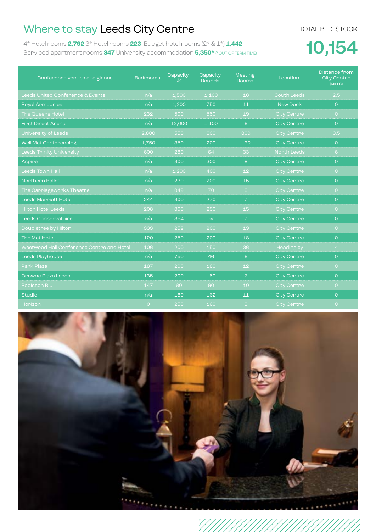## Where to stay Leeds City Centre

TOTAL BED STOCK

4\* Hotel rooms **2,792** 3\* Hotel rooms **223** Budget hotel rooms (2\* & 1\*) **1,442** Serviced apartment rooms **347** University accommodation **5,350\*** (\*OUT OF TERM TIME)

## 10,154

| Conference venues at a glance             | <b>Bedrooms</b> | Capacity<br>T/S | Capacity<br><b>Rounds</b> | <b>Meeting</b><br><b>Rooms</b> | Location           | Distance from<br><b>City Centre</b><br>(MILES) |
|-------------------------------------------|-----------------|-----------------|---------------------------|--------------------------------|--------------------|------------------------------------------------|
| Leeds United Conference & Events          | n/a             | 1,500           | 1,100                     | 16                             | <b>South Leeds</b> | 2.5                                            |
| <b>Royal Armouries</b>                    | n/a             | 1,200           | 750                       | 11                             | New Dock           | $\overline{O}$                                 |
| <b>The Queens Hotel</b>                   | 232             | 500             | 550                       | 19                             | <b>City Centre</b> | $\overline{O}$                                 |
| <b>Finst Direct Arena</b>                 | n/a             | 12,000          | 1.100                     | $6^{\circ}$                    | <b>City Centre</b> | $\overline{O}$                                 |
| University of Leeds                       | 2,800           | 550             | 600                       | 300                            | <b>City Centre</b> | 0.5                                            |
| Well Met Conferencing                     | 1.750           | 350             | 200                       | 160                            | <b>City Centre</b> | $\Omega$                                       |
| <b>Leeds Trinity University</b>           | 600             | 280             | 64                        | 33                             | <b>North Leeds</b> | 6 <sup>°</sup>                                 |
| Aspire                                    | n/a             | 300             | 300                       | 8                              | <b>City Centre</b> | $\overline{O}$                                 |
| <b>Leeds Town Hall</b>                    | n/a             | 1,200           | 400                       | 12 <sup>°</sup>                | <b>City Centre</b> | $\overline{O}$                                 |
| <b>Northern Ballet</b>                    | n/a             | 230             | 200                       | 15                             | <b>City Centre</b> | $\overline{O}$                                 |
| The Carriageworks Theatre                 | n/a             | 349             | 70                        | 8                              | <b>City Centre</b> | $\overline{O}$                                 |
| <b>Leeds Marriott Hotel</b>               | 244             | 300             | 270                       | $\overline{7}$                 | <b>City Centre</b> | $\overline{O}$                                 |
| <b>Hilton Hotel Leeds</b>                 | 208             | 300             | 250                       | 15 <sub>1</sub>                | <b>City Centre</b> | $\overline{O}$                                 |
| Leeds Conservatoire                       | n/a             | 354             | n/a                       | $\overline{7}$                 | <b>City Centre</b> | $\overline{O}$                                 |
| Doubletree by Hilton                      | 333             | 252             | 200                       | 19                             | <b>City Centre</b> | $\overline{O}$                                 |
| The Met Hotel                             | 120             | 250             | 200                       | 18                             | <b>City Centre</b> | $\overline{O}$                                 |
| Weetwood Hall Conference Centre and Hotel | 106             | 200             | 150                       | 36                             | Headingley         | $\overline{4}$                                 |
| Leeds Playhouse                           | n/a             | 750             | 46                        | 6                              | <b>City Centre</b> | $\Omega$                                       |
| Park Plaza                                | 187             | 200             | 180                       | 12 <sub>1</sub>                | City Centre        | $\overline{O}$                                 |
| Crowne Plaza Leeds                        | 135             | 200             | 150                       | $\overline{7}$                 | <b>City Centre</b> | $\Omega$                                       |
| Radisson Blu                              | 147             | 60              | 60                        | 10 <sup>1</sup>                | City Centre        | $\overline{O}$                                 |
| <b>Studio</b>                             | n/a             | 180             | 162                       | 11                             | <b>City Centre</b> | $\overline{O}$                                 |
| Horizon                                   | $\overline{O}$  | 250             | 160                       | $\mathbf{3}$                   | <b>City Centre</b> | $\overline{O}$                                 |

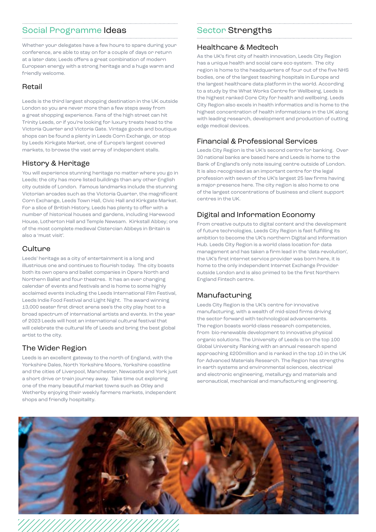## Social Programme Ideas

Whether your delegates have a few hours to spare during your conference, are able to stay on for a couple of days or return at a later date; Leeds offers a great combination of modern European energy with a strong heritage and a huge warm and friendly welcome.

#### Retail

Leeds is the third largest shopping destination in the UK outside London so you are never more than a few steps away from a great shopping experience. Fans of the high street can hit Trinity Leeds, or if you're looking for luxury treats head to the Victoria Quarter and Victoria Gate. Vintage goods and boutique shops can be found a plenty in Leeds Corn Exchange, or stop by Leeds Kirkgate Market, one of Europe's largest covered markets, to browse the vast array of independent stalls.

#### History & Heritage

You will experience stunning heritage no matter where you go in Leeds; the city has more listed buildings than any other English city outside of London. Famous landmarks include the stunning Victorian arcades such as the Victoria Quarter, the magnificent Corn Exchange, Leeds Town Hall, Civic Hall and Kirkgate Market. For a slice of British History, Leeds has plenty to offer with a number of historical houses and gardens, including Harewood House, Lotherton Hall and Temple Newsam. Kirkstall Abbey; one of the most complete medieval Cistercian Abbeys in Britain is also a 'must visit'.

#### **Culture**

Leeds' heritage as a city of entertainment is a long and illustrious one and continues to flourish today. The city boasts both its own opera and ballet companies in Opera North and Northern Ballet and four theatres. It has an ever changing calendar of events and festivals and is home to some highly acclaimed events including the Leeds International Film Festival, Leeds Indie Food Festival and Light Night. The award winning 13,000 seater first direct arena see's the city play host to a broad spectrum of international artists and events. In the year of 2023 Leeds will host an international cultural festival that will celebrate the cultural life of Leeds and bring the best global artist to the city.

#### The Wider Region

Leeds is an excellent gateway to the north of England, with the Yorkshire Dales, North Yorkshire Moors, Yorkshire coastline and the cities of Liverpool, Manchester, Newcastle and York just a short drive or train journey away. Take time out exploring one of the many beautiful market towns such as Otley and Wetherby enjoying their weekly farmers markets, independent shops and friendly hospitality.

#### Sector Strengths

#### Healthcare & Medtech

As the UK's first city of health innovation, Leeds City Region has a unique health and social care eco-system. The city region is home to the headquarters of four out of the five NHS bodies, one of the largest teaching hospitals in Europe and the largest healthcare data platform in the world. According to a study by the What Works Centre for Wellbeing, Leeds is the highest ranked Core City for health and wellbeing. Leeds City Region also excels in health informatics and is home to the highest concentration of health informaticians in the UK along with leading research, development and production of cutting edge medical devices.

#### Financial & Professional Services

Leeds City Region is the UK's second centre for banking. Over 30 national banks are based here and Leeds is home to the Bank of England's only note issuing centre outside of London. It is also recognised as an important centre for the legal profession with seven of the UK's largest 25 law firms having a major presence here. The city region is also home to one of the largest concentrations of business and client support centres in the UK.

#### Digital and Information Economy

From creative outputs to digital content and the development of future technologies, Leeds City Region is fast fulfilling its ambition to become the UK's northern Digital and Information Hub. Leeds City Region is a world class location for data management and has taken a firm lead in the 'data revolution', the UK's first internet service provider was born here, it is home to the only independent Internet Exchange Provider outside London and is also primed to be the first Northern England Fintech centre.

#### Manufacturing

Leeds City Region is the UK's centre for innovative manufacturing, with a wealth of mid-sized firms driving the sector forward with technological advancements. The region boasts world-class research competencies, from bio-renewable development to innovative physical organic solutions. The University of Leeds is on the top 100 Global University Ranking with an annual research spend approaching £200million and is ranked in the top 10 in the UK for Advanced Materials Research. The Region has strengths in earth systems and environmental sciences, electrical and electronic engineering, metallurgy and materials and aeronautical, mechanical and manufacturing engineering.

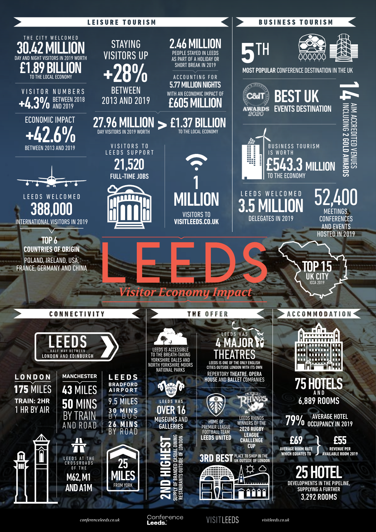